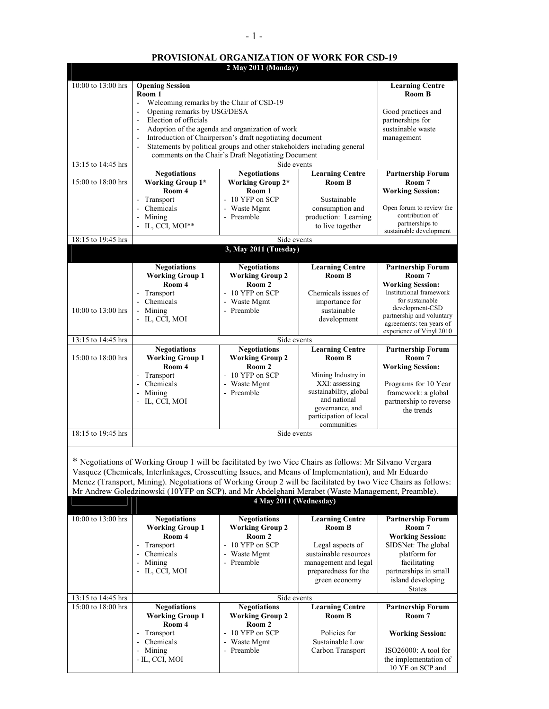## **PROVISIONAL ORGANIZATION OF WORK FOR CSD-19 2 May 2011 (Monday)**

| 10:00 to 13:00 hrs<br><b>Opening Session</b><br><b>Learning Centre</b><br>Room 1<br><b>Room B</b><br>Welcoming remarks by the Chair of CSD-19<br>$\blacksquare$<br>Opening remarks by USG/DESA<br>Good practices and<br>$\blacksquare$<br>Election of officials<br>partnerships for<br>$\blacksquare$<br>Adoption of the agenda and organization of work<br>sustainable waste<br>Introduction of Chairperson's draft negotiating document<br>$\blacksquare$<br>management<br>Statements by political groups and other stakeholders including general<br>comments on the Chair's Draft Negotiating Document<br>13:15 to 14:45 hrs<br>Side events<br><b>Negotiations</b><br><b>Negotiations</b><br><b>Learning Centre</b><br><b>Partnership Forum</b><br>15:00 to 18:00 hrs<br><b>Working Group 1*</b><br><b>Working Group 2*</b><br>Room B<br>Room 7<br>Room 4<br>Room 1<br><b>Working Session:</b><br>$-10$ YFP on SCP<br>Transport<br>Sustainable<br>- Waste Mgmt<br>Open forum to review the<br>- Chemicals<br>consumption and<br>contribution of<br>- Preamble<br>- Mining<br>production: Learning<br>partnerships to<br>- IL, CCI, MOI $**$<br>to live together<br>sustainable development<br>18:15 to 19:45 hrs<br>Side events<br>3, May 2011 (Tuesday)<br><b>Negotiations</b><br><b>Negotiations</b><br><b>Learning Centre</b><br><b>Partnership Forum</b><br><b>Working Group 1</b><br><b>Working Group 2</b><br>Room B<br>Room 7<br>Room 4<br>Room 2<br><b>Working Session:</b><br>Institutional framework<br>- 10 YFP on SCP<br>Transport<br>Chemicals issues of<br>$\blacksquare$<br>for sustainable<br>Chemicals<br>- Waste Mgmt<br>importance for |                                         |  |  |  |  |
|---------------------------------------------------------------------------------------------------------------------------------------------------------------------------------------------------------------------------------------------------------------------------------------------------------------------------------------------------------------------------------------------------------------------------------------------------------------------------------------------------------------------------------------------------------------------------------------------------------------------------------------------------------------------------------------------------------------------------------------------------------------------------------------------------------------------------------------------------------------------------------------------------------------------------------------------------------------------------------------------------------------------------------------------------------------------------------------------------------------------------------------------------------------------------------------------------------------------------------------------------------------------------------------------------------------------------------------------------------------------------------------------------------------------------------------------------------------------------------------------------------------------------------------------------------------------------------------------------------------------------------------------------------------|-----------------------------------------|--|--|--|--|
|                                                                                                                                                                                                                                                                                                                                                                                                                                                                                                                                                                                                                                                                                                                                                                                                                                                                                                                                                                                                                                                                                                                                                                                                                                                                                                                                                                                                                                                                                                                                                                                                                                                               |                                         |  |  |  |  |
|                                                                                                                                                                                                                                                                                                                                                                                                                                                                                                                                                                                                                                                                                                                                                                                                                                                                                                                                                                                                                                                                                                                                                                                                                                                                                                                                                                                                                                                                                                                                                                                                                                                               |                                         |  |  |  |  |
|                                                                                                                                                                                                                                                                                                                                                                                                                                                                                                                                                                                                                                                                                                                                                                                                                                                                                                                                                                                                                                                                                                                                                                                                                                                                                                                                                                                                                                                                                                                                                                                                                                                               |                                         |  |  |  |  |
|                                                                                                                                                                                                                                                                                                                                                                                                                                                                                                                                                                                                                                                                                                                                                                                                                                                                                                                                                                                                                                                                                                                                                                                                                                                                                                                                                                                                                                                                                                                                                                                                                                                               |                                         |  |  |  |  |
|                                                                                                                                                                                                                                                                                                                                                                                                                                                                                                                                                                                                                                                                                                                                                                                                                                                                                                                                                                                                                                                                                                                                                                                                                                                                                                                                                                                                                                                                                                                                                                                                                                                               |                                         |  |  |  |  |
|                                                                                                                                                                                                                                                                                                                                                                                                                                                                                                                                                                                                                                                                                                                                                                                                                                                                                                                                                                                                                                                                                                                                                                                                                                                                                                                                                                                                                                                                                                                                                                                                                                                               |                                         |  |  |  |  |
|                                                                                                                                                                                                                                                                                                                                                                                                                                                                                                                                                                                                                                                                                                                                                                                                                                                                                                                                                                                                                                                                                                                                                                                                                                                                                                                                                                                                                                                                                                                                                                                                                                                               |                                         |  |  |  |  |
|                                                                                                                                                                                                                                                                                                                                                                                                                                                                                                                                                                                                                                                                                                                                                                                                                                                                                                                                                                                                                                                                                                                                                                                                                                                                                                                                                                                                                                                                                                                                                                                                                                                               |                                         |  |  |  |  |
|                                                                                                                                                                                                                                                                                                                                                                                                                                                                                                                                                                                                                                                                                                                                                                                                                                                                                                                                                                                                                                                                                                                                                                                                                                                                                                                                                                                                                                                                                                                                                                                                                                                               |                                         |  |  |  |  |
|                                                                                                                                                                                                                                                                                                                                                                                                                                                                                                                                                                                                                                                                                                                                                                                                                                                                                                                                                                                                                                                                                                                                                                                                                                                                                                                                                                                                                                                                                                                                                                                                                                                               |                                         |  |  |  |  |
|                                                                                                                                                                                                                                                                                                                                                                                                                                                                                                                                                                                                                                                                                                                                                                                                                                                                                                                                                                                                                                                                                                                                                                                                                                                                                                                                                                                                                                                                                                                                                                                                                                                               |                                         |  |  |  |  |
|                                                                                                                                                                                                                                                                                                                                                                                                                                                                                                                                                                                                                                                                                                                                                                                                                                                                                                                                                                                                                                                                                                                                                                                                                                                                                                                                                                                                                                                                                                                                                                                                                                                               |                                         |  |  |  |  |
|                                                                                                                                                                                                                                                                                                                                                                                                                                                                                                                                                                                                                                                                                                                                                                                                                                                                                                                                                                                                                                                                                                                                                                                                                                                                                                                                                                                                                                                                                                                                                                                                                                                               |                                         |  |  |  |  |
|                                                                                                                                                                                                                                                                                                                                                                                                                                                                                                                                                                                                                                                                                                                                                                                                                                                                                                                                                                                                                                                                                                                                                                                                                                                                                                                                                                                                                                                                                                                                                                                                                                                               |                                         |  |  |  |  |
|                                                                                                                                                                                                                                                                                                                                                                                                                                                                                                                                                                                                                                                                                                                                                                                                                                                                                                                                                                                                                                                                                                                                                                                                                                                                                                                                                                                                                                                                                                                                                                                                                                                               |                                         |  |  |  |  |
|                                                                                                                                                                                                                                                                                                                                                                                                                                                                                                                                                                                                                                                                                                                                                                                                                                                                                                                                                                                                                                                                                                                                                                                                                                                                                                                                                                                                                                                                                                                                                                                                                                                               |                                         |  |  |  |  |
|                                                                                                                                                                                                                                                                                                                                                                                                                                                                                                                                                                                                                                                                                                                                                                                                                                                                                                                                                                                                                                                                                                                                                                                                                                                                                                                                                                                                                                                                                                                                                                                                                                                               |                                         |  |  |  |  |
|                                                                                                                                                                                                                                                                                                                                                                                                                                                                                                                                                                                                                                                                                                                                                                                                                                                                                                                                                                                                                                                                                                                                                                                                                                                                                                                                                                                                                                                                                                                                                                                                                                                               |                                         |  |  |  |  |
| development-CSD<br>10:00 to 13:00 hrs<br>- Preamble<br>Mining<br>sustainable<br>partnership and voluntary                                                                                                                                                                                                                                                                                                                                                                                                                                                                                                                                                                                                                                                                                                                                                                                                                                                                                                                                                                                                                                                                                                                                                                                                                                                                                                                                                                                                                                                                                                                                                     |                                         |  |  |  |  |
| development<br>- IL, CCI, MOI<br>agreements: ten years of                                                                                                                                                                                                                                                                                                                                                                                                                                                                                                                                                                                                                                                                                                                                                                                                                                                                                                                                                                                                                                                                                                                                                                                                                                                                                                                                                                                                                                                                                                                                                                                                     |                                         |  |  |  |  |
| 13:15 to 14:45 hrs                                                                                                                                                                                                                                                                                                                                                                                                                                                                                                                                                                                                                                                                                                                                                                                                                                                                                                                                                                                                                                                                                                                                                                                                                                                                                                                                                                                                                                                                                                                                                                                                                                            | experience of Vinyl 2010<br>Side events |  |  |  |  |
| <b>Learning Centre</b><br><b>Negotiations</b><br><b>Negotiations</b><br><b>Partnership Forum</b>                                                                                                                                                                                                                                                                                                                                                                                                                                                                                                                                                                                                                                                                                                                                                                                                                                                                                                                                                                                                                                                                                                                                                                                                                                                                                                                                                                                                                                                                                                                                                              |                                         |  |  |  |  |
| 15:00 to 18:00 hrs<br><b>Working Group 1</b><br><b>Working Group 2</b><br>Room B<br>Room 7                                                                                                                                                                                                                                                                                                                                                                                                                                                                                                                                                                                                                                                                                                                                                                                                                                                                                                                                                                                                                                                                                                                                                                                                                                                                                                                                                                                                                                                                                                                                                                    |                                         |  |  |  |  |
| Room 4<br>Room 2<br><b>Working Session:</b><br>- 10 YFP on SCP<br>Mining Industry in<br>Transport                                                                                                                                                                                                                                                                                                                                                                                                                                                                                                                                                                                                                                                                                                                                                                                                                                                                                                                                                                                                                                                                                                                                                                                                                                                                                                                                                                                                                                                                                                                                                             |                                         |  |  |  |  |
| XXI: assessing<br>- Chemicals<br>- Waste Mgmt<br>Programs for 10 Year                                                                                                                                                                                                                                                                                                                                                                                                                                                                                                                                                                                                                                                                                                                                                                                                                                                                                                                                                                                                                                                                                                                                                                                                                                                                                                                                                                                                                                                                                                                                                                                         |                                         |  |  |  |  |
| sustainability, global<br>- Mining<br>- Preamble<br>framework: a global                                                                                                                                                                                                                                                                                                                                                                                                                                                                                                                                                                                                                                                                                                                                                                                                                                                                                                                                                                                                                                                                                                                                                                                                                                                                                                                                                                                                                                                                                                                                                                                       |                                         |  |  |  |  |
| and national<br>- IL, CCI, MOI<br>partnership to reverse<br>governance, and<br>the trends                                                                                                                                                                                                                                                                                                                                                                                                                                                                                                                                                                                                                                                                                                                                                                                                                                                                                                                                                                                                                                                                                                                                                                                                                                                                                                                                                                                                                                                                                                                                                                     |                                         |  |  |  |  |
| participation of local                                                                                                                                                                                                                                                                                                                                                                                                                                                                                                                                                                                                                                                                                                                                                                                                                                                                                                                                                                                                                                                                                                                                                                                                                                                                                                                                                                                                                                                                                                                                                                                                                                        |                                         |  |  |  |  |
|                                                                                                                                                                                                                                                                                                                                                                                                                                                                                                                                                                                                                                                                                                                                                                                                                                                                                                                                                                                                                                                                                                                                                                                                                                                                                                                                                                                                                                                                                                                                                                                                                                                               |                                         |  |  |  |  |
| communities                                                                                                                                                                                                                                                                                                                                                                                                                                                                                                                                                                                                                                                                                                                                                                                                                                                                                                                                                                                                                                                                                                                                                                                                                                                                                                                                                                                                                                                                                                                                                                                                                                                   |                                         |  |  |  |  |
| 18:15 to 19:45 hrs<br>Side events                                                                                                                                                                                                                                                                                                                                                                                                                                                                                                                                                                                                                                                                                                                                                                                                                                                                                                                                                                                                                                                                                                                                                                                                                                                                                                                                                                                                                                                                                                                                                                                                                             |                                         |  |  |  |  |
|                                                                                                                                                                                                                                                                                                                                                                                                                                                                                                                                                                                                                                                                                                                                                                                                                                                                                                                                                                                                                                                                                                                                                                                                                                                                                                                                                                                                                                                                                                                                                                                                                                                               |                                         |  |  |  |  |
| * Negotiations of Working Group 1 will be facilitated by two Vice Chairs as follows: Mr Silvano Vergara                                                                                                                                                                                                                                                                                                                                                                                                                                                                                                                                                                                                                                                                                                                                                                                                                                                                                                                                                                                                                                                                                                                                                                                                                                                                                                                                                                                                                                                                                                                                                       |                                         |  |  |  |  |
| Vasquez (Chemicals, Interlinkages, Crosscutting Issues, and Means of Implementation), and Mr Eduardo                                                                                                                                                                                                                                                                                                                                                                                                                                                                                                                                                                                                                                                                                                                                                                                                                                                                                                                                                                                                                                                                                                                                                                                                                                                                                                                                                                                                                                                                                                                                                          |                                         |  |  |  |  |
| Menez (Transport, Mining). Negotiations of Working Group 2 will be facilitated by two Vice Chairs as follows:<br>Mr Andrew Goledzinowski (10YFP on SCP), and Mr Abdelghani Merabet (Waste Management, Preamble).                                                                                                                                                                                                                                                                                                                                                                                                                                                                                                                                                                                                                                                                                                                                                                                                                                                                                                                                                                                                                                                                                                                                                                                                                                                                                                                                                                                                                                              |                                         |  |  |  |  |
| 4 May 2011 (Wednesday)                                                                                                                                                                                                                                                                                                                                                                                                                                                                                                                                                                                                                                                                                                                                                                                                                                                                                                                                                                                                                                                                                                                                                                                                                                                                                                                                                                                                                                                                                                                                                                                                                                        |                                         |  |  |  |  |
| 10:00 to 13:00 hrs<br><b>Negotiations</b><br><b>Negotiations</b><br><b>Learning Centre</b><br><b>Partnership Forum</b>                                                                                                                                                                                                                                                                                                                                                                                                                                                                                                                                                                                                                                                                                                                                                                                                                                                                                                                                                                                                                                                                                                                                                                                                                                                                                                                                                                                                                                                                                                                                        |                                         |  |  |  |  |
| <b>Working Group 1</b><br><b>Working Group 2</b><br>Room B<br>Room 7                                                                                                                                                                                                                                                                                                                                                                                                                                                                                                                                                                                                                                                                                                                                                                                                                                                                                                                                                                                                                                                                                                                                                                                                                                                                                                                                                                                                                                                                                                                                                                                          |                                         |  |  |  |  |
| Room 4<br>Room 2<br><b>Working Session:</b>                                                                                                                                                                                                                                                                                                                                                                                                                                                                                                                                                                                                                                                                                                                                                                                                                                                                                                                                                                                                                                                                                                                                                                                                                                                                                                                                                                                                                                                                                                                                                                                                                   |                                         |  |  |  |  |
| - 10 YFP on SCP<br>Transport<br>SIDSNet: The global<br>Legal aspects of<br>Chemicals<br>- Waste Mgmt<br>sustainable resources<br>platform for                                                                                                                                                                                                                                                                                                                                                                                                                                                                                                                                                                                                                                                                                                                                                                                                                                                                                                                                                                                                                                                                                                                                                                                                                                                                                                                                                                                                                                                                                                                 |                                         |  |  |  |  |
| Mining<br>- Preamble<br>facilitating<br>management and legal<br>$\blacksquare$                                                                                                                                                                                                                                                                                                                                                                                                                                                                                                                                                                                                                                                                                                                                                                                                                                                                                                                                                                                                                                                                                                                                                                                                                                                                                                                                                                                                                                                                                                                                                                                |                                         |  |  |  |  |
| IL, CCI, MOI<br>partnerships in small<br>preparedness for the                                                                                                                                                                                                                                                                                                                                                                                                                                                                                                                                                                                                                                                                                                                                                                                                                                                                                                                                                                                                                                                                                                                                                                                                                                                                                                                                                                                                                                                                                                                                                                                                 |                                         |  |  |  |  |
| island developing<br>green economy<br><b>States</b>                                                                                                                                                                                                                                                                                                                                                                                                                                                                                                                                                                                                                                                                                                                                                                                                                                                                                                                                                                                                                                                                                                                                                                                                                                                                                                                                                                                                                                                                                                                                                                                                           |                                         |  |  |  |  |
| 13:15 to 14:45 hrs<br>Side events                                                                                                                                                                                                                                                                                                                                                                                                                                                                                                                                                                                                                                                                                                                                                                                                                                                                                                                                                                                                                                                                                                                                                                                                                                                                                                                                                                                                                                                                                                                                                                                                                             |                                         |  |  |  |  |
| 15:00 to 18:00 hrs<br><b>Negotiations</b><br><b>Negotiations</b><br><b>Learning Centre</b><br><b>Partnership Forum</b><br>Room B<br>Room 7<br><b>Working Group 1</b><br><b>Working Group 2</b>                                                                                                                                                                                                                                                                                                                                                                                                                                                                                                                                                                                                                                                                                                                                                                                                                                                                                                                                                                                                                                                                                                                                                                                                                                                                                                                                                                                                                                                                |                                         |  |  |  |  |
| Room 4<br>Room 2                                                                                                                                                                                                                                                                                                                                                                                                                                                                                                                                                                                                                                                                                                                                                                                                                                                                                                                                                                                                                                                                                                                                                                                                                                                                                                                                                                                                                                                                                                                                                                                                                                              |                                         |  |  |  |  |
| - 10 YFP on SCP<br>Policies for<br>Transport<br><b>Working Session:</b>                                                                                                                                                                                                                                                                                                                                                                                                                                                                                                                                                                                                                                                                                                                                                                                                                                                                                                                                                                                                                                                                                                                                                                                                                                                                                                                                                                                                                                                                                                                                                                                       |                                         |  |  |  |  |
| Chemicals<br>Sustainable Low<br>- Waste Mgmt<br>$\blacksquare$<br>Mining<br>- Preamble<br>Carbon Transport<br>ISO26000: A tool for<br>- IL, CCI, MOI<br>the implementation of                                                                                                                                                                                                                                                                                                                                                                                                                                                                                                                                                                                                                                                                                                                                                                                                                                                                                                                                                                                                                                                                                                                                                                                                                                                                                                                                                                                                                                                                                 |                                         |  |  |  |  |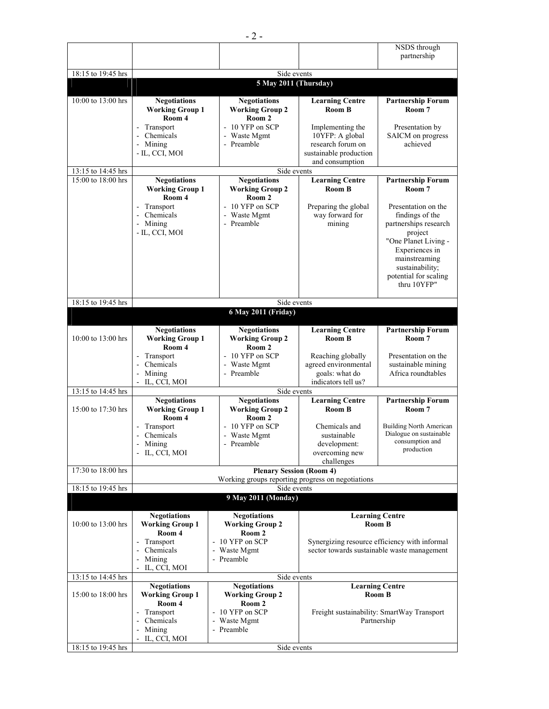|                                          |                                                                                                                       |                                                                                                  |                                                                                                     | NSDS through                                                                                                                                                                                               |  |
|------------------------------------------|-----------------------------------------------------------------------------------------------------------------------|--------------------------------------------------------------------------------------------------|-----------------------------------------------------------------------------------------------------|------------------------------------------------------------------------------------------------------------------------------------------------------------------------------------------------------------|--|
|                                          |                                                                                                                       |                                                                                                  |                                                                                                     | partnership                                                                                                                                                                                                |  |
| 18:15 to 19:45 hrs                       |                                                                                                                       | Side events                                                                                      |                                                                                                     |                                                                                                                                                                                                            |  |
|                                          | 5 May 2011 (Thursday)                                                                                                 |                                                                                                  |                                                                                                     |                                                                                                                                                                                                            |  |
| 10:00 to 13:00 hrs                       | <b>Negotiations</b><br><b>Working Group 1</b><br>Room 4<br>Transport<br>$\blacksquare$<br>Chemicals<br>$\blacksquare$ | <b>Negotiations</b><br><b>Working Group 2</b><br>Room 2<br>- 10 YFP on SCP<br>- Waste Mgmt       | <b>Learning Centre</b><br>Room B<br>Implementing the<br>10YFP: A global                             | <b>Partnership Forum</b><br>Room 7<br>Presentation by<br>SAICM on progress                                                                                                                                 |  |
| 13:15 to 14:45 hrs                       | - Mining<br>- IL, CCI, MOI                                                                                            | - Preamble<br>Side events                                                                        | research forum on<br>sustainable production<br>and consumption                                      | achieved                                                                                                                                                                                                   |  |
| 15:00 to 18:00 hrs                       | <b>Negotiations</b>                                                                                                   | <b>Negotiations</b>                                                                              | <b>Learning Centre</b>                                                                              | <b>Partnership Forum</b>                                                                                                                                                                                   |  |
|                                          | <b>Working Group 1</b><br>Room 4<br>Transport<br>Chemicals<br>- Mining<br>- IL, CCI, MOI                              | <b>Working Group 2</b><br>Room 2<br>$-10$ YFP on SCP<br>- Waste Mgmt<br>- Preamble               | Room B<br>Preparing the global<br>way forward for<br>mining                                         | Room 7<br>Presentation on the<br>findings of the<br>partnerships research<br>project<br>"One Planet Living -<br>Experiences in<br>mainstreaming<br>sustainability;<br>potential for scaling<br>thru 10YFP" |  |
|                                          |                                                                                                                       |                                                                                                  |                                                                                                     |                                                                                                                                                                                                            |  |
| 18:15 to 19:45 hrs                       | Side events<br>6 May 2011 (Friday)                                                                                    |                                                                                                  |                                                                                                     |                                                                                                                                                                                                            |  |
|                                          | <b>Negotiations</b>                                                                                                   | <b>Negotiations</b>                                                                              | <b>Learning Centre</b>                                                                              | <b>Partnership Forum</b>                                                                                                                                                                                   |  |
| 10:00 to 13:00 hrs                       | <b>Working Group 1</b><br>Room 4<br>Transport<br>$\blacksquare$<br>Chemicals<br>Mining<br>÷,<br>IL, CCI, MOI          | <b>Working Group 2</b><br>Room 2<br>- 10 YFP on SCP<br>- Waste Mgmt<br>- Preamble                | <b>Room B</b><br>Reaching globally<br>agreed environmental<br>goals: what do<br>indicators tell us? | Room 7<br>Presentation on the<br>sustainable mining<br>Africa roundtables                                                                                                                                  |  |
| 13:15 to 14:45 hrs                       |                                                                                                                       | Side events                                                                                      |                                                                                                     |                                                                                                                                                                                                            |  |
| 15:00 to 17:30 hrs                       | <b>Negotiations</b><br><b>Working Group 1</b><br>Room 4                                                               | <b>Negotiations</b><br><b>Working Group 2</b><br>Room <sub>2</sub>                               | <b>Learning Centre</b><br>Room B                                                                    | <b>Partnership Forum</b><br>Room 7                                                                                                                                                                         |  |
|                                          | Transport<br>Chemicals<br>- Mining<br>- IL, CCI, MOI                                                                  | - 10 YFP on SCP<br>- Waste Mgmt<br>- Preamble                                                    | Chemicals and<br>sustainable<br>development:<br>overcoming new                                      | <b>Building North American</b><br>Dialogue on sustainable<br>consumption and<br>production                                                                                                                 |  |
| 17:30 to 18:00 hrs                       | challenges<br><b>Plenary Session (Room 4)</b>                                                                         |                                                                                                  |                                                                                                     |                                                                                                                                                                                                            |  |
|                                          |                                                                                                                       | Working groups reporting progress on negotiations                                                |                                                                                                     |                                                                                                                                                                                                            |  |
| 18:15 to 19:45 hrs                       |                                                                                                                       | Side events<br>9 May 2011 (Monday)                                                               |                                                                                                     |                                                                                                                                                                                                            |  |
|                                          |                                                                                                                       |                                                                                                  |                                                                                                     |                                                                                                                                                                                                            |  |
| 10:00 to 13:00 hrs                       | <b>Negotiations</b><br><b>Working Group 1</b><br>Room 4                                                               | <b>Negotiations</b><br><b>Working Group 2</b><br>Room 2                                          |                                                                                                     | <b>Learning Centre</b><br>Room B                                                                                                                                                                           |  |
|                                          | Transport<br>Chemicals<br>$\bar{\phantom{a}}$<br>Mining<br>IL, CCI, MOI                                               | - 10 YFP on SCP<br>- Waste Mgmt<br>- Preamble                                                    | Synergizing resource efficiency with informal<br>sector towards sustainable waste management        |                                                                                                                                                                                                            |  |
| 13:15 to 14:45 hrs                       | <b>Negotiations</b>                                                                                                   | Side events<br><b>Negotiations</b>                                                               |                                                                                                     | <b>Learning Centre</b>                                                                                                                                                                                     |  |
| 15:00 to 18:00 hrs<br>18:15 to 19:45 hrs | <b>Working Group 1</b><br>Room 4<br>Transport<br>Chemicals<br>$\Box$<br>Mining<br>- IL, CCI, MOI                      | <b>Working Group 2</b><br>Room 2<br>- 10 YFP on SCP<br>- Waste Mgmt<br>- Preamble<br>Side events |                                                                                                     | Room B<br>Freight sustainability: SmartWay Transport<br>Partnership                                                                                                                                        |  |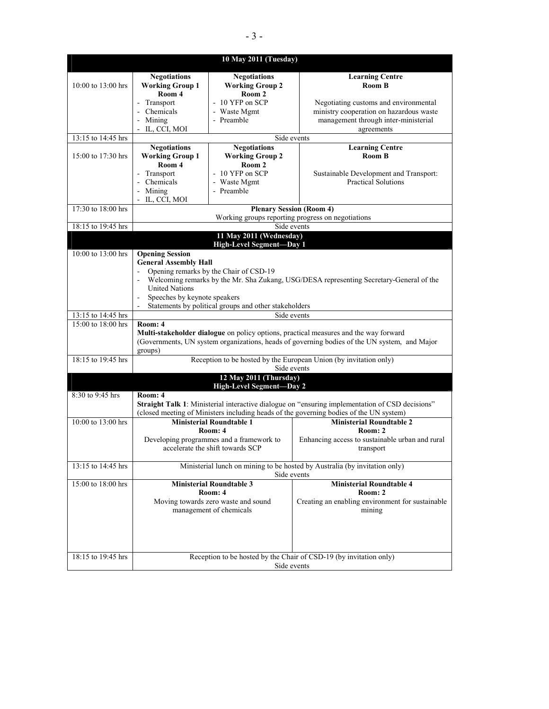|                    |                                                                                                                                                                                                 | 10 May 2011 (Tuesday)                                                            |                                                                                                                                        |  |  |
|--------------------|-------------------------------------------------------------------------------------------------------------------------------------------------------------------------------------------------|----------------------------------------------------------------------------------|----------------------------------------------------------------------------------------------------------------------------------------|--|--|
| 10:00 to 13:00 hrs | <b>Negotiations</b><br><b>Working Group 1</b><br>Room 4<br>- Transport                                                                                                                          | <b>Negotiations</b><br><b>Working Group 2</b><br>Room 2<br>- 10 YFP on SCP       | <b>Learning Centre</b><br>Room B                                                                                                       |  |  |
|                    | - Chemicals<br>- Mining<br>- IL, CCI, MOI                                                                                                                                                       | - Waste Mgmt<br>- Preamble                                                       | Negotiating customs and environmental<br>ministry cooperation on hazardous waste<br>management through inter-ministerial<br>agreements |  |  |
| 13:15 to 14:45 hrs |                                                                                                                                                                                                 | Side events                                                                      |                                                                                                                                        |  |  |
|                    | <b>Negotiations</b>                                                                                                                                                                             | <b>Negotiations</b>                                                              | <b>Learning Centre</b>                                                                                                                 |  |  |
| 15:00 to 17:30 hrs | <b>Working Group 1</b>                                                                                                                                                                          | <b>Working Group 2</b>                                                           | <b>Room B</b>                                                                                                                          |  |  |
|                    | Room 4                                                                                                                                                                                          | Room 2                                                                           |                                                                                                                                        |  |  |
|                    | - Transport                                                                                                                                                                                     | $-10$ YFP on SCP                                                                 | Sustainable Development and Transport:                                                                                                 |  |  |
|                    | - Chemicals<br>- Mining                                                                                                                                                                         | - Waste Mgmt<br>- Preamble                                                       | <b>Practical Solutions</b>                                                                                                             |  |  |
|                    | - IL, CCI, MOI                                                                                                                                                                                  |                                                                                  |                                                                                                                                        |  |  |
| 17:30 to 18:00 hrs |                                                                                                                                                                                                 | <b>Plenary Session (Room 4)</b>                                                  |                                                                                                                                        |  |  |
|                    |                                                                                                                                                                                                 |                                                                                  | Working groups reporting progress on negotiations                                                                                      |  |  |
| 18:15 to 19:45 hrs |                                                                                                                                                                                                 | Side events                                                                      |                                                                                                                                        |  |  |
|                    |                                                                                                                                                                                                 | 11 May 2011 (Wednesday)<br><b>High-Level Segment-Day 1</b>                       |                                                                                                                                        |  |  |
| 10:00 to 13:00 hrs | <b>Opening Session</b>                                                                                                                                                                          |                                                                                  |                                                                                                                                        |  |  |
|                    | <b>General Assembly Hall</b>                                                                                                                                                                    |                                                                                  |                                                                                                                                        |  |  |
|                    | Opening remarks by the Chair of CSD-19<br>$\sim$                                                                                                                                                |                                                                                  |                                                                                                                                        |  |  |
|                    | Welcoming remarks by the Mr. Sha Zukang, USG/DESA representing Secretary-General of the<br><b>United Nations</b>                                                                                |                                                                                  |                                                                                                                                        |  |  |
|                    | Speeches by keynote speakers                                                                                                                                                                    |                                                                                  |                                                                                                                                        |  |  |
|                    | Statements by political groups and other stakeholders                                                                                                                                           |                                                                                  |                                                                                                                                        |  |  |
| 13:15 to 14:45 hrs | Side events                                                                                                                                                                                     |                                                                                  |                                                                                                                                        |  |  |
| 15:00 to 18:00 hrs | Room: 4                                                                                                                                                                                         |                                                                                  |                                                                                                                                        |  |  |
|                    | Multi-stakeholder dialogue on policy options, practical measures and the way forward<br>(Governments, UN system organizations, heads of governing bodies of the UN system, and Major<br>groups) |                                                                                  |                                                                                                                                        |  |  |
| 18:15 to 19:45 hrs |                                                                                                                                                                                                 | Reception to be hosted by the European Union (by invitation only)<br>Side events |                                                                                                                                        |  |  |
|                    | 12 May 2011 (Thursday)<br>High-Level Segment-Day 2                                                                                                                                              |                                                                                  |                                                                                                                                        |  |  |
| $8:30$ to 9:45 hrs | Room: 4<br>Straight Talk 1: Ministerial interactive dialogue on "ensuring implementation of CSD decisions"                                                                                      |                                                                                  |                                                                                                                                        |  |  |
|                    | (closed meeting of Ministers including heads of the governing bodies of the UN system)                                                                                                          |                                                                                  |                                                                                                                                        |  |  |
| 10:00 to 13:00 hrs |                                                                                                                                                                                                 | <b>Ministerial Roundtable 1</b>                                                  | <b>Ministerial Roundtable 2</b>                                                                                                        |  |  |
|                    |                                                                                                                                                                                                 | Room: 4                                                                          | Room: 2                                                                                                                                |  |  |
|                    |                                                                                                                                                                                                 | Developing programmes and a framework to<br>accelerate the shift towards SCP     | Enhancing access to sustainable urban and rural<br><b>Example 1</b> transport                                                          |  |  |
| 13:15 to 14:45 hrs | Ministerial lunch on mining to be hosted by Australia (by invitation only)<br>Side events                                                                                                       |                                                                                  |                                                                                                                                        |  |  |
| 15:00 to 18:00 hrs | <b>Ministerial Roundtable 4</b><br><b>Ministerial Roundtable 3</b><br>Room: 4<br>Room: 2                                                                                                        |                                                                                  |                                                                                                                                        |  |  |
|                    |                                                                                                                                                                                                 | Moving towards zero waste and sound<br>management of chemicals                   | Creating an enabling environment for sustainable<br>mining                                                                             |  |  |
|                    |                                                                                                                                                                                                 |                                                                                  |                                                                                                                                        |  |  |
| 18:15 to 19:45 hrs | Reception to be hosted by the Chair of CSD-19 (by invitation only)<br>Side events                                                                                                               |                                                                                  |                                                                                                                                        |  |  |